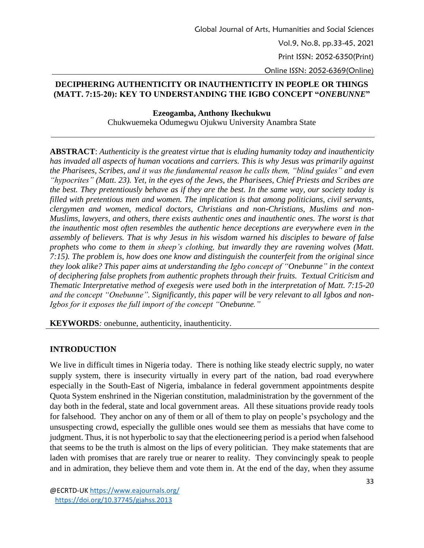## **DECIPHERING AUTHENTICITY OR INAUTHENTICITY IN PEOPLE OR THINGS (MATT. 7:15-20): KEY TO UNDERSTANDING THE IGBO CONCEPT "***ONEBUNNE***"**

**Ezeogamba, Anthony Ikechukwu** Chukwuemeka Odumegwu Ojukwu University Anambra State

**ABSTRACT**: *Authenticity is the greatest virtue that is eluding humanity today and inauthenticity has invaded all aspects of human vocations and carriers. This is why Jesus was primarily against the Pharisees, Scribes, and it was the fundamental reason he calls them, "blind guides" and even "hypocrites" (Matt. 23). Yet, in the eyes of the Jews, the Pharisees, Chief Priests and Scribes are the best. They pretentiously behave as if they are the best. In the same way, our society today is filled with pretentious men and women. The implication is that among politicians, civil servants, clergymen and women, medical doctors, Christians and non-Christians, Muslims and non-Muslims, lawyers, and others, there exists authentic ones and inauthentic ones. The worst is that the inauthentic most often resembles the authentic hence deceptions are everywhere even in the assembly of believers. That is why Jesus in his wisdom warned his disciples to beware of false prophets who come to them in sheep's clothing, but inwardly they are ravening wolves (Matt. 7:15). The problem is, how does one know and distinguish the counterfeit from the original since they look alike? This paper aims at understanding the Igbo concept of "Onebunne" in the context of deciphering false prophets from authentic prophets through their fruits. Textual Criticism and Thematic Interpretative method of exegesis were used both in the interpretation of Matt. 7:15-20 and the concept "Onebunne". Significantly, this paper will be very relevant to all Igbos and non-Igbos for it exposes the full import of the concept "Onebunne."* 

**KEYWORDS***:* onebunne, authenticity, inauthenticity.

# **INTRODUCTION**

We live in difficult times in Nigeria today. There is nothing like steady electric supply, no water supply system, there is insecurity virtually in every part of the nation, bad road everywhere especially in the South-East of Nigeria, imbalance in federal government appointments despite Quota System enshrined in the Nigerian constitution, maladministration by the government of the day both in the federal, state and local government areas. All these situations provide ready tools for falsehood. They anchor on any of them or all of them to play on people's psychology and the unsuspecting crowd, especially the gullible ones would see them as messiahs that have come to judgment. Thus, it is not hyperbolic to say that the electioneering period is a period when falsehood that seems to be the truth is almost on the lips of every politician. They make statements that are laden with promises that are rarely true or nearer to reality. They convincingly speak to people and in admiration, they believe them and vote them in. At the end of the day, when they assume

@ECRTD-UK<https://www.eajournals.org/> <https://doi.org/10.37745/gjahss.2013>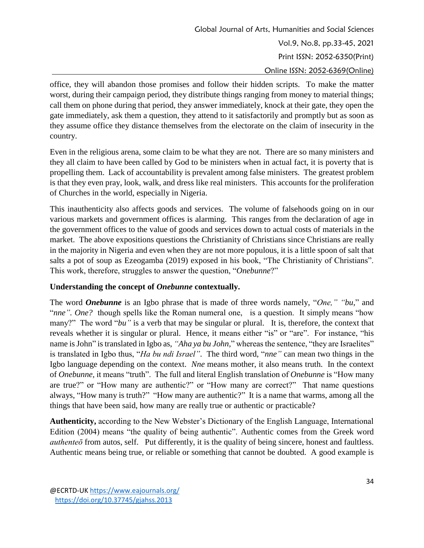office, they will abandon those promises and follow their hidden scripts. To make the matter worst, during their campaign period, they distribute things ranging from money to material things; call them on phone during that period, they answer immediately, knock at their gate, they open the gate immediately, ask them a question, they attend to it satisfactorily and promptly but as soon as they assume office they distance themselves from the electorate on the claim of insecurity in the country.

Even in the religious arena, some claim to be what they are not. There are so many ministers and they all claim to have been called by God to be ministers when in actual fact, it is poverty that is propelling them. Lack of accountability is prevalent among false ministers. The greatest problem is that they even pray, look, walk, and dress like real ministers. This accounts for the proliferation of Churches in the world, especially in Nigeria.

This inauthenticity also affects goods and services. The volume of falsehoods going on in our various markets and government offices is alarming. This ranges from the declaration of age in the government offices to the value of goods and services down to actual costs of materials in the market. The above expositions questions the Christianity of Christians since Christians are really in the majority in Nigeria and even when they are not more populous, it is a little spoon of salt that salts a pot of soup as Ezeogamba (2019) exposed in his book, "The Christianity of Christians". This work, therefore, struggles to answer the question, "*Onebunne*?"

# **Understanding the concept of** *Onebunne* **contextually.**

The word *Onebunne* is an Igbo phrase that is made of three words namely, "*One," "bu*," and "*nne". One?* though spells like the Roman numeral one, is a question. It simply means "how many?" The word "*bu*" is a verb that may be singular or plural. It is, therefore, the context that reveals whether it is singular or plural. Hence, it means either "is" or "are". For instance, "his name is John" is translated in Igbo as, *"Aha ya bu John,*" whereas the sentence, "they are Israelites" is translated in Igbo thus, "*Ha bu ndi Israel"*. The third word, "*nne"* can mean two things in the Igbo language depending on the context. *Nne* means mother, it also means truth. In the context of *Onebunne,* it means "truth". The full and literal English translation of *Onebunne* is "How many are true?" or "How many are authentic?" or "How many are correct?" That name questions always, "How many is truth?" "How many are authentic?" It is a name that warms, among all the things that have been said, how many are really true or authentic or practicable?

**Authenticity,** according to the New Webster's Dictionary of the English Language, International Edition (2004) means "the quality of being authentic". Authentic comes from the Greek word *authenteō* from autos, self. Put differently, it is the quality of being sincere, honest and faultless. Authentic means being true, or reliable or something that cannot be doubted. A good example is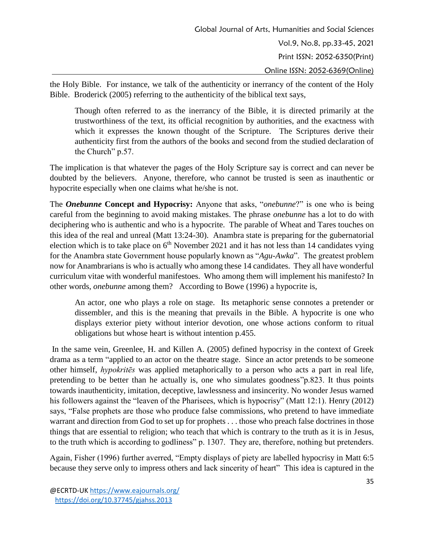the Holy Bible. For instance, we talk of the authenticity or inerrancy of the content of the Holy Bible. Broderick (2005) referring to the authenticity of the biblical text says,

Though often referred to as the inerrancy of the Bible, it is directed primarily at the trustworthiness of the text, its official recognition by authorities, and the exactness with which it expresses the known thought of the Scripture. The Scriptures derive their authenticity first from the authors of the books and second from the studied declaration of the Church" p.57.

The implication is that whatever the pages of the Holy Scripture say is correct and can never be doubted by the believers. Anyone, therefore, who cannot be trusted is seen as inauthentic or hypocrite especially when one claims what he/she is not.

The *Onebunne* **Concept and Hypocrisy:** Anyone that asks, "*onebunne*?" is one who is being careful from the beginning to avoid making mistakes. The phrase *onebunne* has a lot to do with deciphering who is authentic and who is a hypocrite. The parable of Wheat and Tares touches on this idea of the real and unreal (Matt 13:24-30). Anambra state is preparing for the gubernatorial election which is to take place on 6<sup>th</sup> November 2021 and it has not less than 14 candidates vying for the Anambra state Government house popularly known as "*Agu-Awka*". The greatest problem now for Anambrarians is who is actually who among these 14 candidates. They all have wonderful curriculum vitae with wonderful manifestoes. Who among them will implement his manifesto? In other words, *onebunne* among them? According to Bowe (1996) a hypocrite is,

An actor, one who plays a role on stage. Its metaphoric sense connotes a pretender or dissembler, and this is the meaning that prevails in the Bible. A hypocrite is one who displays exterior piety without interior devotion, one whose actions conform to ritual obligations but whose heart is without intention p.455.

In the same vein, Greenlee, H. and Killen A. (2005) defined hypocrisy in the context of Greek drama as a term "applied to an actor on the theatre stage. Since an actor pretends to be someone other himself, *hypokritēs* was applied metaphorically to a person who acts a part in real life, pretending to be better than he actually is, one who simulates goodness"p.823. It thus points towards inauthenticity, imitation, deceptive, lawlessness and insincerity. No wonder Jesus warned his followers against the "leaven of the Pharisees, which is hypocrisy" (Matt 12:1). Henry (2012) says, "False prophets are those who produce false commissions, who pretend to have immediate warrant and direction from God to set up for prophets . . . those who preach false doctrines in those things that are essential to religion; who teach that which is contrary to the truth as it is in Jesus, to the truth which is according to godliness" p. 1307. They are, therefore, nothing but pretenders.

Again, Fisher (1996) further averred, "Empty displays of piety are labelled hypocrisy in Matt 6:5 because they serve only to impress others and lack sincerity of heart" This idea is captured in the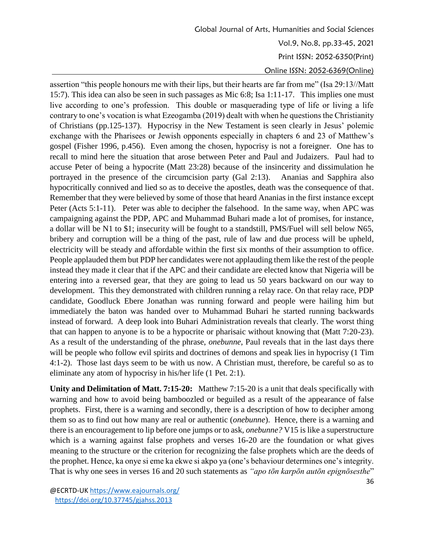Global Journal of Arts, Humanities and Social Sciences Vol.9, No.8, pp.33-45, 2021 Print ISSN: 2052-6350(Print) Online ISSN: 2052-6369(Online)

assertion "this people honours me with their lips, but their hearts are far from me" (Isa 29:13//Matt 15:7). This idea can also be seen in such passages as Mic 6:8; Isa 1:11-17. This implies one must live according to one's profession. This double or masquerading type of life or living a life contrary to one's vocation is what Ezeogamba (2019) dealt with when he questions the Christianity of Christians (pp.125-137). Hypocrisy in the New Testament is seen clearly in Jesus' polemic exchange with the Pharisees or Jewish opponents especially in chapters 6 and 23 of Matthew's gospel (Fisher 1996, p.456). Even among the chosen, hypocrisy is not a foreigner. One has to recall to mind here the situation that arose between Peter and Paul and Judaizers. Paul had to accuse Peter of being a hypocrite (Matt 23:28) because of the insincerity and dissimulation he portrayed in the presence of the circumcision party (Gal 2:13). Ananias and Sapphira also hypocritically connived and lied so as to deceive the apostles, death was the consequence of that. Remember that they were believed by some of those that heard Ananias in the first instance except Peter (Acts 5:1-11). Peter was able to decipher the falsehood. In the same way, when APC was campaigning against the PDP, APC and Muhammad Buhari made a lot of promises, for instance, a dollar will be N1 to \$1; insecurity will be fought to a standstill, PMS/Fuel will sell below N65, bribery and corruption will be a thing of the past, rule of law and due process will be upheld, electricity will be steady and affordable within the first six months of their assumption to office. People applauded them but PDP her candidates were not applauding them like the rest of the people instead they made it clear that if the APC and their candidate are elected know that Nigeria will be entering into a reversed gear, that they are going to lead us 50 years backward on our way to development. This they demonstrated with children running a relay race. On that relay race, PDP candidate, Goodluck Ebere Jonathan was running forward and people were hailing him but immediately the baton was handed over to Muhammad Buhari he started running backwards instead of forward. A deep look into Buhari Administration reveals that clearly. The worst thing that can happen to anyone is to be a hypocrite or pharisaic without knowing that (Matt 7:20-23). As a result of the understanding of the phrase, *onebunne*, Paul reveals that in the last days there will be people who follow evil spirits and doctrines of demons and speak lies in hypocrisy (1 Tim 4:1-2). Those last days seem to be with us now. A Christian must, therefore, be careful so as to eliminate any atom of hypocrisy in his/her life (1 Pet. 2:1).

**Unity and Delimitation of Matt. 7:15-20:** Matthew 7:15-20 is a unit that deals specifically with warning and how to avoid being bamboozled or beguiled as a result of the appearance of false prophets. First, there is a warning and secondly, there is a description of how to decipher among them so as to find out how many are real or authentic (*onebunne*). Hence, there is a warning and there is an encouragement to lip before one jumps or to ask, *onebunne?* V15 is like a superstructure which is a warning against false prophets and verses 16-20 are the foundation or what gives meaning to the structure or the criterion for recognizing the false prophets which are the deeds of the prophet. Hence, ka onye si eme ka ekwe si akpo ya (one's behaviour determines one's integrity. That is why one sees in verses 16 and 20 such statements as *"apo tōn karpōn autōn epignōsesthe*"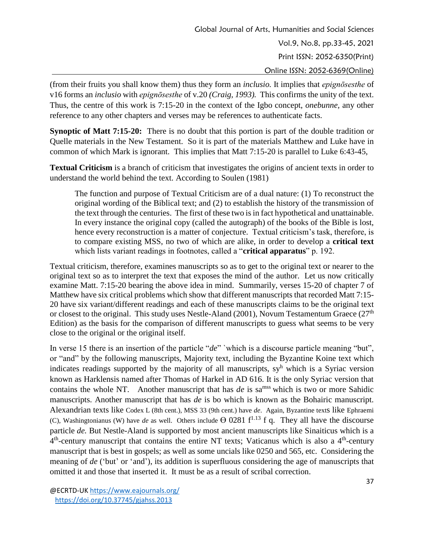(from their fruits you shall know them) thus they form an *inclusio.* It implies that *epignōsesthe* of v16 forms an *inclusio* with *epignōsesthe* of v.20 *(Craig, 1993).* This confirms the unity of the text. Thus, the centre of this work is 7:15-20 in the context of the Igbo concept, *onebunne,* any other reference to any other chapters and verses may be references to authenticate facts.

**Synoptic of Matt 7:15-20:** There is no doubt that this portion is part of the double tradition or Quelle materials in the New Testament. So it is part of the materials Matthew and Luke have in common of which Mark is ignorant. This implies that Matt 7:15-20 is parallel to Luke 6:43-45,

**Textual Criticism** is a branch of criticism that investigates the origins of ancient texts in order to understand the world behind the text. According to Soulen (1981)

The function and purpose of Textual Criticism are of a dual nature: (1) To reconstruct the original wording of the Biblical text; and (2) to establish the history of the transmission of the text through the centuries. The first of these two is in fact hypothetical and unattainable. In every instance the original copy (called the autograph) of the books of the Bible is lost, hence every reconstruction is a matter of conjecture. Textual criticism's task, therefore, is to compare existing MSS, no two of which are alike, in order to develop a **critical text** which lists variant readings in footnotes, called a "**critical apparatus**" p. 192.

Textual criticism, therefore, examines manuscripts so as to get to the original text or nearer to the original text so as to interpret the text that exposes the mind of the author. Let us now critically examine Matt. 7:15-20 bearing the above idea in mind. Summarily, verses 15-20 of chapter 7 of Matthew have six critical problems which show that different manuscripts that recorded Matt 7:15- 20 have six variant/different readings and each of these manuscripts claims to be the original text or closest to the original. This study uses Nestle-Aland (2001), Novum Testamentum Graece ( $27<sup>th</sup>$ Edition) as the basis for the comparison of different manuscripts to guess what seems to be very close to the original or the original itself.

In verse 15 there is an insertion of the particle "*de*" `which is a discourse particle meaning "but", or "and" by the following manuscripts, Majority text, including the Byzantine Koine text which indicates readings supported by the majority of all manuscripts, sy<sup>h</sup> which is a Syriac version known as Harklensis named after Thomas of Harkel in AD 616. It is the only Syriac version that contains the whole NT. Another manuscript that has *de* is sa<sup>mss</sup> which is two or more Sahidic manuscripts. Another manuscript that has *de* is bo which is known as the Bohairic manuscript. Alexandrian texts like Codex L (8th cent.), MSS 33 (9th cent.) have *de*. Again, Byzantine texts like Ephraemi (C), Washingtonianus (W) have *de* as well. Others include  $\Theta$  0281 f<sup>1.13</sup> f q. They all have the discourse particle *de.* But Nestle-Aland is supported by most ancient manuscripts like Sinaiticus which is a  $4<sup>th</sup>$ -century manuscript that contains the entire NT texts; Vaticanus which is also a  $4<sup>th</sup>$ -century manuscript that is best in gospels; as well as some uncials like 0250 and 565, etc. Considering the meaning of *de* ('but' or 'and'), its addition is superfluous considering the age of manuscripts that omitted it and those that inserted it. It must be as a result of scribal correction.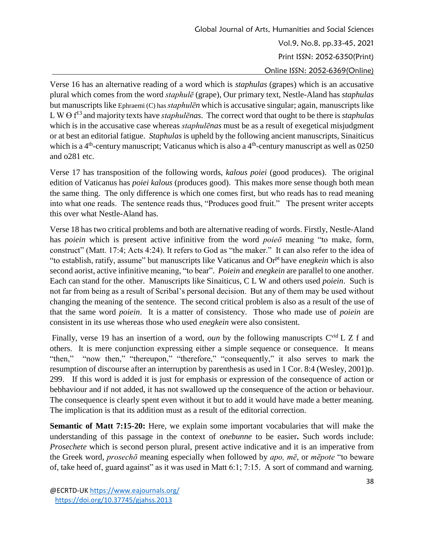Global Journal of Arts, Humanities and Social Sciences Vol.9, No.8, pp.33-45, 2021 Print ISSN: 2052-6350(Print) Online ISSN: 2052-6369(Online)

Verse 16 has an alternative reading of a word which is *staphulas* (grapes) which is an accusative plural which comes from the word *staphulē* (grape), Our primary text, Nestle-Aland has *staphulas* but manuscripts like Ephraemi (C) has *staphulēn* which is accusative singular; again, manuscripts like L W  $\Theta$  f<sup>13</sup> and majority texts have *staphulēnas*. The correct word that ought to be there is *staphulas* which is in the accusative case whereas *staphulēnas* must be as a result of exegetical misjudgment or at best an editorial fatigue. *Staphulas* is upheld by the following ancient manuscripts, Sinaiticus which is a  $4<sup>th</sup>$ -century manuscript; Vaticanus which is also a  $4<sup>th</sup>$ -century manuscript as well as 0250 and o281 etc.

Verse 17 has transposition of the following words, *kalous poiei* (good produces). The original edition of Vaticanus has *poiei kalous* (produces good). This makes more sense though both mean the same thing. The only difference is which one comes first, but who reads has to read meaning into what one reads. The sentence reads thus, "Produces good fruit." The present writer accepts this over what Nestle-Aland has.

Verse 18 has two critical problems and both are alternative reading of words. Firstly, Nestle-Aland has *poiein* which is present active infinitive from the word *poieō* meaning "to make, form, construct" (Matt. 17:4; Acts 4:24). It refers to God as "the maker." It can also refer to the idea of "to establish, ratify, assume" but manuscripts like Vaticanus and Orpt have *enegkein* which is also second aorist, active infinitive meaning, "to bear". *Poiein* and *enegkein* are parallel to one another. Each can stand for the other. Manuscripts like Sinaiticus, C L W and others used *poiein*. Such is not far from being as a result of Scribal's personal decision. But any of them may be used without changing the meaning of the sentence. The second critical problem is also as a result of the use of that the same word *poiein*. It is a matter of consistency. Those who made use of *poiein* are consistent in its use whereas those who used *enegkein* were also consistent.

Finally, verse 19 has an insertion of a word, *oun* by the following manuscripts C<sup>vid</sup> L Z f and others. It is mere conjunction expressing either a simple sequence or consequence. It means "then," "now then," "thereupon," "therefore," "consequently," it also serves to mark the resumption of discourse after an interruption by parenthesis as used in 1 Cor. 8:4 (Wesley, 2001)p. 299. If this word is added it is just for emphasis or expression of the consequence of action or bebhaviour and if not added, it has not swallowed up the consequence of the action or behaviour. The consequence is clearly spent even without it but to add it would have made a better meaning. The implication is that its addition must as a result of the editorial correction.

**Semantic of Matt 7:15-20:** Here, we explain some important vocabularies that will make the understanding of this passage in the context of *onebunne* to be easier**.** Such words include: *Prosechete* which is second person plural, present active indicative and it is an imperative from the Greek word, *prosechō* meaning especially when followed by *apo, mē*, or *mēpote* "to beware of, take heed of, guard against" as it was used in Matt 6:1; 7:15. A sort of command and warning.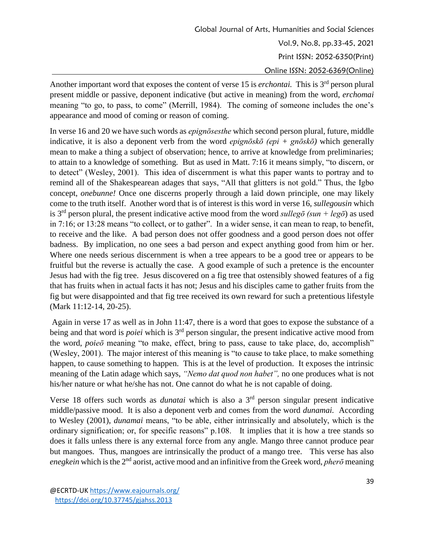Global Journal of Arts, Humanities and Social Sciences Vol.9, No.8, pp.33-45, 2021 Print ISSN: 2052-6350(Print) Online ISSN: 2052-6369(Online)

Another important word that exposes the content of verse 15 is *erchontai*. This is 3<sup>rd</sup> person plural present middle or passive, deponent indicative (but active in meaning) from the word, *erchomai* meaning "to go, to pass, to come" (Merrill, 1984). The coming of someone includes the one's appearance and mood of coming or reason of coming.

In verse 16 and 20 we have such words as *epignōsesthe* which second person plural, future, middle indicative, it is also a deponent verb from the word *epignōskō (epi + gnōskō)* which generally mean to make a thing a subject of observation; hence, to arrive at knowledge from preliminaries; to attain to a knowledge of something. But as used in Matt. 7:16 it means simply, "to discern, or to detect" (Wesley, 2001). This idea of discernment is what this paper wants to portray and to remind all of the Shakespearean adages that says, "All that glitters is not gold." Thus, the Igbo concept, *onebunne!* Once one discerns properly through a laid down principle, one may likely come to the truth itself. Another word that is of interest is this word in verse 16, *sullegousin* which is 3<sup>rd</sup> person plural, the present indicative active mood from the word *sullego* (sun + lego) as used in 7:16; or 13:28 means "to collect, or to gather". In a wider sense, it can mean to reap, to benefit, to receive and the like. A bad person does not offer goodness and a good person does not offer badness. By implication, no one sees a bad person and expect anything good from him or her. Where one needs serious discernment is when a tree appears to be a good tree or appears to be fruitful but the reverse is actually the case. A good example of such a pretence is the encounter Jesus had with the fig tree. Jesus discovered on a fig tree that ostensibly showed features of a fig that has fruits when in actual facts it has not; Jesus and his disciples came to gather fruits from the fig but were disappointed and that fig tree received its own reward for such a pretentious lifestyle (Mark 11:12-14, 20-25).

Again in verse 17 as well as in John 11:47, there is a word that goes to expose the substance of a being and that word is *poiei* which is 3rd person singular, the present indicative active mood from the word, *poieō* meaning "to make, effect, bring to pass, cause to take place, do, accomplish" (Wesley, 2001). The major interest of this meaning is "to cause to take place, to make something happen, to cause something to happen. This is at the level of production. It exposes the intrinsic meaning of the Latin adage which says, *"Nemo dat quod non habet",* no one produces what is not his/her nature or what he/she has not. One cannot do what he is not capable of doing.

Verse 18 offers such words as *dunatai* which is also a 3rd person singular present indicative middle/passive mood. It is also a deponent verb and comes from the word *dunamai.* According to Wesley (2001), *dunamai* means, "to be able, either intrinsically and absolutely, which is the ordinary signification; or, for specific reasons" p.108. It implies that it is how a tree stands so does it falls unless there is any external force from any angle. Mango three cannot produce pear but mangoes. Thus, mangoes are intrinsically the product of a mango tree. This verse has also enegkein which is the 2<sup>nd</sup> aorist, active mood and an infinitive from the Greek word, *pherō* meaning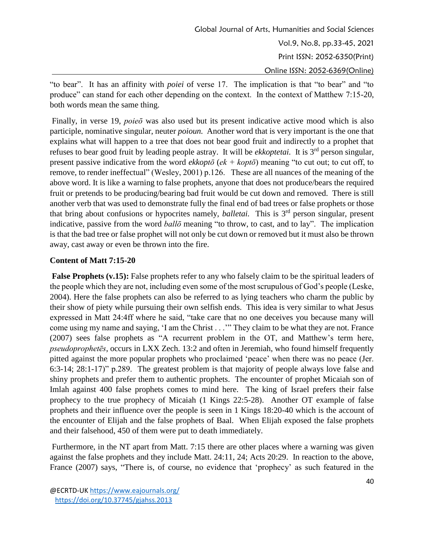"to bear". It has an affinity with *poiei* of verse 17. The implication is that "to bear" and "to produce" can stand for each other depending on the context. In the context of Matthew 7:15-20, both words mean the same thing.

Finally, in verse 19, *poieō* was also used but its present indicative active mood which is also participle, nominative singular, neuter *poioun.* Another word that is very important is the one that explains what will happen to a tree that does not bear good fruit and indirectly to a prophet that refuses to bear good fruit by leading people astray. It will be *ekkoptetai.* It is 3rd person singular, present passive indicative from the word *ekkoptō* (*ek + koptō*) meaning "to cut out; to cut off, to remove, to render ineffectual" (Wesley, 2001) p.126. These are all nuances of the meaning of the above word. It is like a warning to false prophets, anyone that does not produce/bears the required fruit or pretends to be producing/bearing bad fruit would be cut down and removed. There is still another verb that was used to demonstrate fully the final end of bad trees or false prophets or those that bring about confusions or hypocrites namely, *balletai*. This is 3<sup>rd</sup> person singular, present indicative, passive from the word *ballō* meaning "to throw, to cast, and to lay". The implication is that the bad tree or false prophet will not only be cut down or removed but it must also be thrown away, cast away or even be thrown into the fire.

### **Content of Matt 7:15-20**

**False Prophets (v.15):** False prophets refer to any who falsely claim to be the spiritual leaders of the people which they are not, including even some of the most scrupulous of God's people (Leske, 2004). Here the false prophets can also be referred to as lying teachers who charm the public by their show of piety while pursuing their own selfish ends. This idea is very similar to what Jesus expressed in Matt 24:4ff where he said, "take care that no one deceives you because many will come using my name and saying, 'I am the Christ . . .'" They claim to be what they are not. France (2007) sees false prophets as "A recurrent problem in the OT, and Matthew's term here, *pseudoprophetēs*, occurs in LXX Zech. 13:2 and often in Jeremiah, who found himself frequently pitted against the more popular prophets who proclaimed 'peace' when there was no peace (Jer. 6:3-14; 28:1-17)" p.289. The greatest problem is that majority of people always love false and shiny prophets and prefer them to authentic prophets. The encounter of prophet Micaiah son of Imlah against 400 false prophets comes to mind here. The king of Israel prefers their false prophecy to the true prophecy of Micaiah (1 Kings 22:5-28). Another OT example of false prophets and their influence over the people is seen in 1 Kings 18:20-40 which is the account of the encounter of Elijah and the false prophets of Baal. When Elijah exposed the false prophets and their falsehood, 450 of them were put to death immediately.

Furthermore, in the NT apart from Matt. 7:15 there are other places where a warning was given against the false prophets and they include Matt. 24:11, 24; Acts 20:29. In reaction to the above, France (2007) says, "There is, of course, no evidence that 'prophecy' as such featured in the

<sup>@</sup>ECRTD-UK<https://www.eajournals.org/> <https://doi.org/10.37745/gjahss.2013>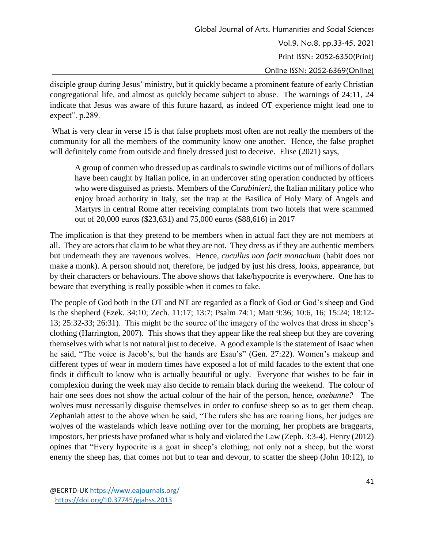disciple group during Jesus' ministry, but it quickly became a prominent feature of early Christian congregational life, and almost as quickly became subject to abuse. The warnings of 24:11, 24 indicate that Jesus was aware of this future hazard, as indeed OT experience might lead one to expect". p.289.

What is very clear in verse 15 is that false prophets most often are not really the members of the community for all the members of the community know one another. Hence, the false prophet will definitely come from outside and finely dressed just to deceive. Elise (2021) says,

A group of conmen who dressed up as cardinals to swindle victims out of millions of dollars have been caught by Italian police, in an undercover sting operation conducted by officers who were disguised as priests. Members of the *Carabinieri*, the Italian military police who enjoy broad authority in Italy, set the trap at the Basilica of Holy Mary of Angels and Martyrs in central Rome after receiving complaints from two hotels that were scammed out of 20,000 euros (\$23,631) and 75,000 euros (\$88,616) in 2017

The implication is that they pretend to be members when in actual fact they are not members at all. They are actors that claim to be what they are not. They dress as if they are authentic members but underneath they are ravenous wolves. Hence, *cucullus non facit monachum* (habit does not make a monk). A person should not, therefore, be judged by just his dress, looks, appearance, but by their characters or behaviours. The above shows that fake/hypocrite is everywhere. One has to beware that everything is really possible when it comes to fake.

The people of God both in the OT and NT are regarded as a flock of God or God's sheep and God is the shepherd (Ezek. 34:10; Zech. 11:17; 13:7; Psalm 74:1; Matt 9:36; 10:6, 16; 15:24; 18:12- 13; 25:32-33; 26:31). This might be the source of the imagery of the wolves that dress in sheep's clothing (Harrington, 2007). This shows that they appear like the real sheep but they are covering themselves with what is not natural just to deceive. A good example is the statement of Isaac when he said, "The voice is Jacob's, but the hands are Esau's" (Gen. 27:22). Women's makeup and different types of wear in modern times have exposed a lot of mild facades to the extent that one finds it difficult to know who is actually beautiful or ugly. Everyone that wishes to be fair in complexion during the week may also decide to remain black during the weekend. The colour of hair one sees does not show the actual colour of the hair of the person, hence, *onebunne?* The wolves must necessarily disguise themselves in order to confuse sheep so as to get them cheap. Zephaniah attest to the above when he said, "The rulers she has are roaring lions, her judges are wolves of the wastelands which leave nothing over for the morning, her prophets are braggarts, impostors, her priests have profaned what is holy and violated the Law (Zeph. 3:3-4). Henry (2012) opines that "Every hypocrite is a goat in sheep's clothing; not only not a sheep, but the worst enemy the sheep has, that comes not but to tear and devour, to scatter the sheep (John 10:12), to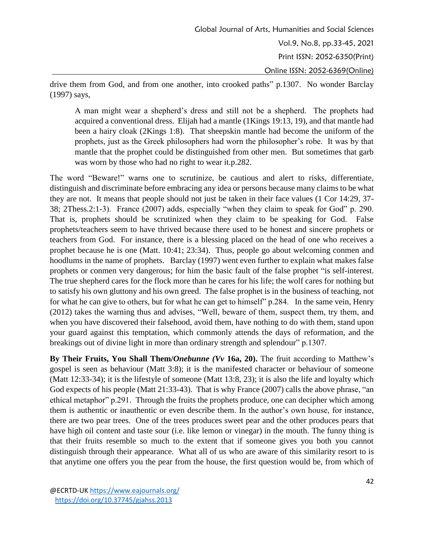drive them from God, and from one another, into crooked paths" p.1307. No wonder Barclay (1997) says,

A man might wear a shepherd's dress and still not be a shepherd. The prophets had acquired a conventional dress. Elijah had a mantle (1Kings 19:13, 19), and that mantle had been a hairy cloak (2Kings 1:8). That sheepskin mantle had become the uniform of the prophets, just as the Greek philosophers had worn the philosopher's robe. It was by that mantle that the prophet could be distinguished from other men. But sometimes that garb was worn by those who had no right to wear it.p.282.

The word "Beware!" warns one to scrutinize, be cautious and alert to risks, differentiate, distinguish and discriminate before embracing any idea or persons because many claims to be what they are not. It means that people should not just be taken in their face values (1 Cor 14:29, 37- 38; 2Thess.2:1-3). France (2007) adds, especially "when they claim to speak for God" p. 290. That is, prophets should be scrutinized when they claim to be speaking for God. False prophets/teachers seem to have thrived because there used to be honest and sincere prophets or teachers from God. For instance, there is a blessing placed on the head of one who receives a prophet because he is one (Matt. 10:41; 23:34). Thus, people go about welcoming conmen and hoodlums in the name of prophets. Barclay (1997) went even further to explain what makes false prophets or conmen very dangerous; for him the basic fault of the false prophet "is self-interest. The true shepherd cares for the flock more than he cares for his life; the wolf cares for nothing but to satisfy his own gluttony and his own greed. The false prophet is in the business of teaching, not for what he can give to others, but for what he can get to himself" p.284. In the same vein, Henry (2012) takes the warning thus and advises, "Well, beware of them, suspect them, try them, and when you have discovered their falsehood, avoid them, have nothing to do with them, stand upon your guard against this temptation, which commonly attends the days of reformation, and the breakings out of divine light in more than ordinary strength and splendour" p.1307.

**By Their Fruits, You Shall Them/***Onebunne (Vv* **16a, 20).** The fruit according to Matthew's gospel is seen as behaviour (Matt 3:8); it is the manifested character or behaviour of someone (Matt 12:33-34); it is the lifestyle of someone (Matt 13:8, 23); it is also the life and loyalty which God expects of his people (Matt 21:33-43). That is why France (2007) calls the above phrase, "an ethical metaphor" p.291. Through the fruits the prophets produce, one can decipher which among them is authentic or inauthentic or even describe them. In the author's own house, for instance, there are two pear trees. One of the trees produces sweet pear and the other produces pears that have high oil content and taste sour (i.e. like lemon or vinegar) in the mouth. The funny thing is that their fruits resemble so much to the extent that if someone gives you both you cannot distinguish through their appearance. What all of us who are aware of this similarity resort to is that anytime one offers you the pear from the house, the first question would be, from which of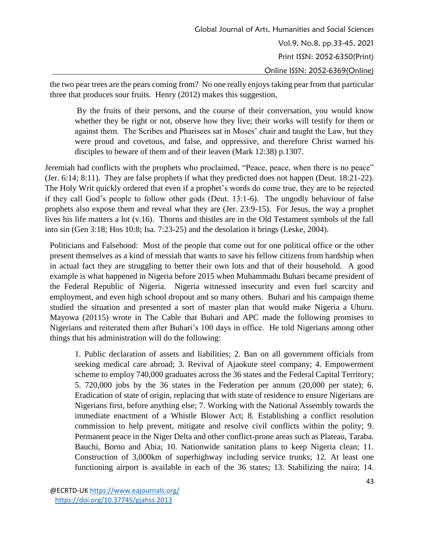the two pear trees are the pears coming from? No one really enjoys taking pear from that particular three that produces sour fruits. Henry (2012) makes this suggestion,

By the fruits of their persons, and the course of their conversation, you would know whether they be right or not, observe how they live; their works will testify for them or against them. The Scribes and Pharisees sat in Moses' chair and taught the Law, but they were proud and covetous, and false, and oppressive, and therefore Christ warned his disciples to beware of them and of their leaven (Mark 12:38) p.1307.

Jeremiah had conflicts with the prophets who proclaimed, "Peace, peace, when there is no peace" (Jer. 6:14; 8:11). They are false prophets if what they predicted does not happen (Deut. 18:21-22). The Holy Writ quickly ordered that even if a prophet's words do come true, they are to be rejected if they call God's people to follow other gods (Deut. 13:1-6). The ungodly behaviour of false prophets also expose them and reveal what they are (Jer. 23:9-15). For Jesus, the way a prophet lives his life matters a lot (v.16). Thorns and thistles are in the Old Testament symbols of the fall into sin (Gen 3:18; Hos 10:8; Isa. 7:23-25) and the desolation it brings (Leske, 2004).

Politicians and Falsehood: Most of the people that come out for one political office or the other present themselves as a kind of messiah that wants to save his fellow citizens from hardship when in actual fact they are struggling to better their own lots and that of their household. A good example is what happened in Nigeria before 2015 when Muhammadu Buhari became president of the Federal Republic of Nigeria. Nigeria witnessed insecurity and even fuel scarcity and employment, and even high school dropout and so many others. Buhari and his campaign theme studied the situation and presented a sort of master plan that would make Nigeria a Uhuru. Mayowa (20115) wrote in The Cable that Buhari and APC made the following promises to Nigerians and reiterated them after Buhari's 100 days in office. He told Nigerians among other things that his administration will do the following:

1. Public declaration of assets and liabilities; 2. Ban on all government officials from seeking medical care abroad; 3. Revival of Ajaokute steel company; 4. Empowerment scheme to employ 740,000 graduates across the 36 states and the Federal Capital Territory; 5. 720,000 jobs by the 36 states in the Federation per annum (20,000 per state); 6. Eradication of state of origin, replacing that with state of residence to ensure Nigerians are Nigerians first, before anything else; 7. Working with the National Assembly towards the immediate enactment of a Whistle Blower Act; 8. Establishing a conflict resolution commission to help prevent, mitigate and resolve civil conflicts within the polity; 9. Permanent peace in the Niger Delta and other conflict-prone areas such as Plateau, Taraba. Bauchi, Borno and Abia; 10. Nationwide sanitation plans to keep Nigeria clean; 11. Construction of 3,000km of superhighway including service trunks; 12. At least one functioning airport is available in each of the 36 states; 13. Stabilizing the naira; 14.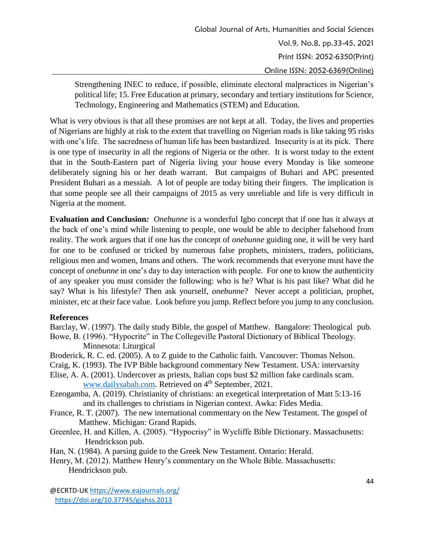Strengthening INEC to reduce, if possible, eliminate electoral malpractices in Nigerian's political life; 15. Free Education at primary, secondary and tertiary institutions for Science, Technology, Engineering and Mathematics (STEM) and Education.

What is very obvious is that all these promises are not kept at all. Today, the lives and properties of Nigerians are highly at risk to the extent that travelling on Nigerian roads is like taking 95 risks with one's life. The sacredness of human life has been bastardized. Insecurity is at its pick. There is one type of insecurity in all the regions of Nigeria or the other. It is worst today to the extent that in the South-Eastern part of Nigeria living your house every Monday is like someone deliberately signing his or her death warrant. But campaigns of Buhari and APC presented President Buhari as a messiah. A lot of people are today biting their fingers. The implication is that some people see all their campaigns of 2015 as very unreliable and life is very difficult in Nigeria at the moment.

**Evaluation and Conclusion***: Onebunne* is a wonderful Igbo concept that if one has it always at the back of one's mind while listening to people, one would be able to decipher falsehood from reality. The work argues that if one has the concept of *onebunne* guiding one, it will be very hard for one to be confused or tricked by numerous false prophets, ministers, traders, politicians, religious men and women, Imans and others. The work recommends that everyone must have the concept of *onebunne* in one's day to day interaction with people. For one to know the authenticity of any speaker you must consider the following: who is he? What is his past like? What did he say? What is his lifestyle? Then ask yourself, *onebunne*? Never accept a politician, prophet, minister, etc at their face value. Look before you jump. Reflect before you jump to any conclusion.

### **References**

- Barclay, W. (1997). The daily study Bible, the gospel of Matthew. Bangalore: Theological pub. Bowe, B. (1996). "Hypocrite" in The Collegeville Pastoral Dictionary of Biblical Theology. Minnesota: Liturgical
- Broderick, R. C. ed. (2005). A to Z guide to the Catholic faith. Vancouver: Thomas Nelson.
- Craig, K. (1993). The IVP Bible background commentary New Testament. USA: intervarsity
- Elise, A. A. (2001). Undercover as priests, Italian cops bust \$2 million fake cardinals scam. [www.dailysabah.com.](http://www.dailysabah.com/) Retrieved on 4<sup>th</sup> September, 2021.
- Ezeogamba, A. (2019). Christianity of christians: an exegetical interpretation of Matt 5:13-16 and its challenges to christians in Nigerian context. Awka: Fides Media.
- France, R. T. (2007). The new international commentary on the New Testament. The gospel of Matthew. Michigan: Grand Rapids.
- Greenlee, H. and Killen, A. (2005). "Hypocrisy" in Wycliffe Bible Dictionary. Massachusetts: Hendrickson pub.
- Han, N. (1984). A parsing guide to the Greek New Testament. Ontario: Herald.
- Henry, M. (2012). Matthew Henry's commentary on the Whole Bible. Massachusetts: Hendrickson pub.